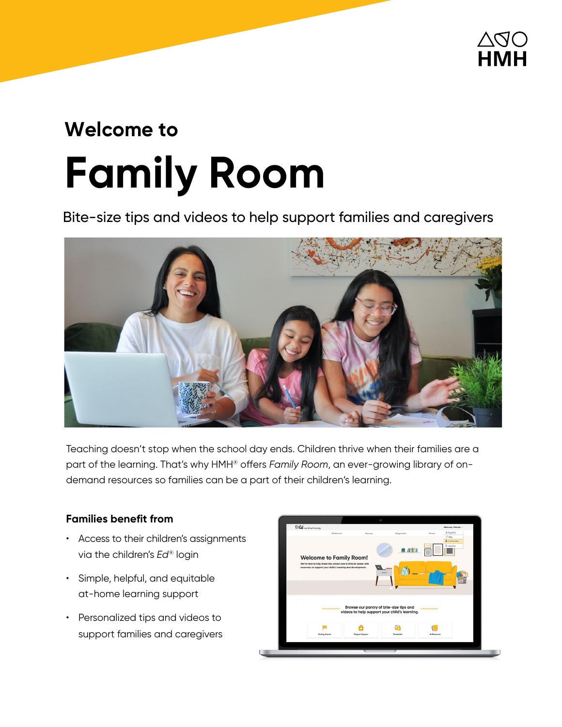

# **Welcome to Family Room**

Bite-size tips and videos to help support families and caregivers



Teaching doesn't stop when the school day ends. Children thrive when their families are a part of the learning. That's why HMH® offers *Family Room*, an ever-growing library of ondemand resources so families can be a part of their children's learning.

## **Families benefit from**

- Access to their children's assignments via the children's *Ed*® login
- Simple, helpful, and equitable at-home learning support
- Personalized tips and videos to support families and caregivers